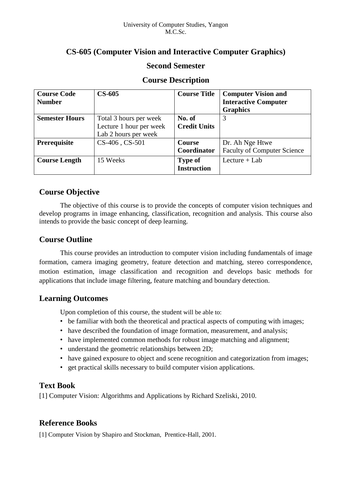# **CS-605 (Computer Vision and Interactive Computer Graphics)**

## **Second Semester**

| <b>Course Code</b>    | $CS-605$                | <b>Course Title</b> | <b>Computer Vision and</b>         |
|-----------------------|-------------------------|---------------------|------------------------------------|
| <b>Number</b>         |                         |                     | <b>Interactive Computer</b>        |
|                       |                         |                     | <b>Graphics</b>                    |
| <b>Semester Hours</b> | Total 3 hours per week  | No. of              | 3                                  |
|                       | Lecture 1 hour per week | <b>Credit Units</b> |                                    |
|                       | Lab 2 hours per week    |                     |                                    |
| Prerequisite          | CS-406, CS-501          | Course              | Dr. Ah Nge Htwe                    |
|                       |                         | Coordinator         | <b>Faculty of Computer Science</b> |
| <b>Course Length</b>  | 15 Weeks                | <b>Type of</b>      | Lecture $+$ Lab                    |
|                       |                         | <b>Instruction</b>  |                                    |

## **Course Description**

## **Course Objective**

The objective of this course is to provide the concepts of computer vision techniques and develop programs in image enhancing, classification, recognition and analysis. This course also intends to provide the basic concept of deep learning.

## **Course Outline**

This course provides an introduction to computer vision including fundamentals of image formation, camera imaging geometry, feature detection and matching, stereo correspondence, motion estimation, image classification and recognition and develops basic methods for applications that include image filtering, feature matching and boundary detection.

## **Learning Outcomes**

Upon completion of this course, the student will be able to:

- be familiar with both the theoretical and practical aspects of computing with images;
- have described the foundation of image formation, measurement, and analysis;
- have implemented common methods for robust image matching and alignment;
- understand the geometric relationships between 2D;
- have gained exposure to object and scene recognition and categorization from images;
- get practical skills necessary to build computer vision applications.

## **Text Book**

[1] Computer Vision: Algorithms and Applications by Richard Szeliski, 2010.

# **Reference Books**

[1] Computer Vision by Shapiro and Stockman, Prentice-Hall, 2001.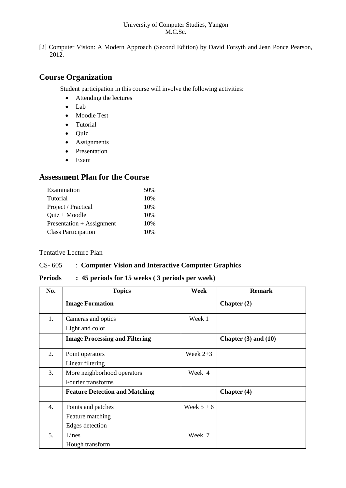#### University of Computer Studies, Yangon M.C.Sc.

[2] Computer Vision: A Modern Approach (Second Edition) by David Forsyth and Jean Ponce Pearson, 2012.

# **Course Organization**

Student participation in this course will involve the following activities:

- Attending the lectures
- Lab
- Moodle Test
- Tutorial
- Quiz
- Assignments
- Presentation
- Exam

## **Assessment Plan for the Course**

| Examination                | 50% |
|----------------------------|-----|
| Tutorial                   | 10% |
| Project / Practical        | 10% |
| $Quiz + Modele$            | 10% |
| Presentation + Assignment  | 10% |
| <b>Class Participation</b> | 10% |

### Tentative Lecture Plan

### CS- 605 : **Computer Vision and Interactive Computer Graphics**

### **Periods : 45 periods for 15 weeks ( 3 periods per week)**

| No. | <b>Topics</b>                         | Week       | <b>Remark</b>            |
|-----|---------------------------------------|------------|--------------------------|
|     | <b>Image Formation</b>                |            | Chapter $(2)$            |
| 1.  | Cameras and optics                    | Week 1     |                          |
|     | Light and color                       |            |                          |
|     | <b>Image Processing and Filtering</b> |            | Chapter $(3)$ and $(10)$ |
| 2.  | Point operators                       | Week $2+3$ |                          |
|     | Linear filtering                      |            |                          |
| 3.  | More neighborhood operators           | Week 4     |                          |
|     | Fourier transforms                    |            |                          |
|     | <b>Feature Detection and Matching</b> |            | Chapter (4)              |
| 4.  | Points and patches                    | Week $5+6$ |                          |
|     | Feature matching                      |            |                          |
|     | Edges detection                       |            |                          |
| 5.  | Lines                                 | Week 7     |                          |
|     | Hough transform                       |            |                          |